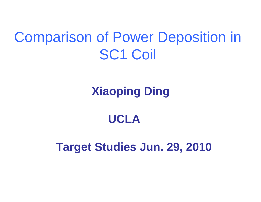#### Comparison of Power Deposition in SC1 Coil

#### **Xiaoping Ding**

#### **UCLA**

#### **Target Studies Jun. 29, 2010**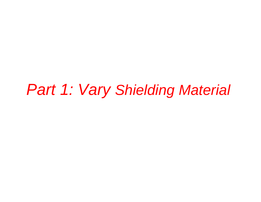### *Part 1: Vary Shielding Material*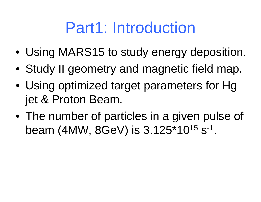## Part1: Introduction

- Using MARS15 to study energy deposition.
- Study II geometry and magnetic field map.
- Using optimized target parameters for Hg jet & Proton Beam.
- The number of particles in a given pulse of beam (4MW, 8GeV) is 3.125\*10<sup>15</sup> s<sup>-1</sup>.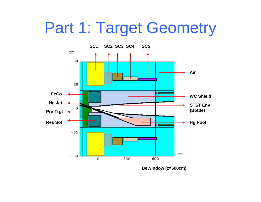### Part 1: Target Geometry



**BeWindow (z=600cm)**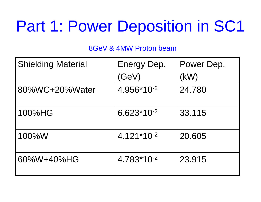# Part 1: Power Deposition in SC1

| <b>Shielding Material</b> | Energy Dep.<br>(GeV) | Power Dep.<br>(kW) |
|---------------------------|----------------------|--------------------|
| 80%WC+20%Water            | 4.956*10-2           | 24.780             |
| 100%HG                    | $6.623*10-2$         | 33.115             |
| 100%W                     | $4.121*10^{-2}$      | 20.605             |
| 60%W+40%HG                | 4.783*10-2           | 23.915             |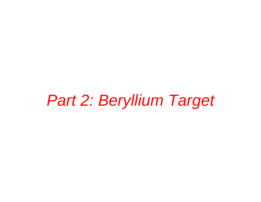## *Part 2: Beryllium Target*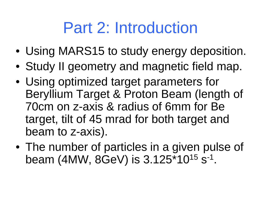# Part 2: Introduction

- Using MARS15 to study energy deposition.
- Study II geometry and magnetic field map.
- Using optimized target parameters for Beryllium Target & Proton Beam (length of 70cm on z-axis & radius of 6mm for Be target, tilt of 45 mrad for both target and beam to z-axis).
- The number of particles in a given pulse of beam (4MW, 8GeV) is 3.125\*10<sup>15</sup> s<sup>-1</sup>.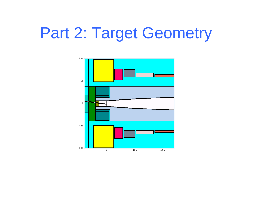## Part 2: Target Geometry

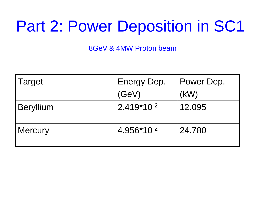# Part 2: Power Deposition in SC1

| Target           | Energy Dep.     | Power Dep. |
|------------------|-----------------|------------|
|                  | (GeV)           | (KW)       |
| <b>Beryllium</b> | $2.419*10^{-2}$ | 12.095     |
| <b>Mercury</b>   | 4.956*10-2      | 24.780     |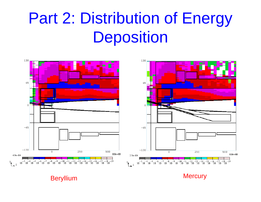# Part 2: Distribution of Energy **Deposition**



Beryllium **Mercury**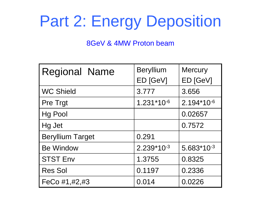# Part 2: Energy Deposition

| <b>Regional Name</b>    | <b>Beryllium</b> | <b>Mercury</b> |
|-------------------------|------------------|----------------|
|                         | ED [GeV]         | ED [GeV]       |
| <b>WC Shield</b>        | 3.777            | 3.656          |
| <b>Pre Trgt</b>         | 1.231*10-6       | 2.194*10-6     |
| <b>Hg Pool</b>          |                  | 0.02657        |
| Hg Jet                  |                  | 0.7572         |
| <b>Beryllium Target</b> | 0.291            |                |
| <b>Be Window</b>        | $2.239*10-3$     | $5.683*10-3$   |
| <b>STST Env</b>         | 1.3755           | 0.8325         |
| <b>Res Sol</b>          | 0.1197           | 0.2336         |
| FeCo #1,#2,#3           | 0.014            | 0.0226         |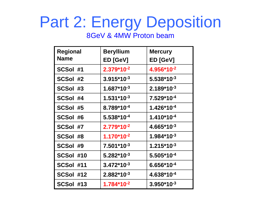# Part 2: Energy Deposition

| <b>Regional</b> | <b>Beryllium</b> | <b>Mercury</b>         |
|-----------------|------------------|------------------------|
| <b>Name</b>     | ED [GeV]         | ED [GeV]               |
| SCSol #1        | $2.379*10^{-2}$  | 4.956*10 <sup>-2</sup> |
| SCSol #2        | $3.915*10^{-3}$  | $5.538*10^{-3}$        |
| SCSol #3        | $1.687*10^{-3}$  | $2.189*10^{-3}$        |
| SCSol #4        | $1.531*10^{-3}$  | 7.529*10-4             |
| SCSol #5        | 8.789*10-4       | $1.426*10^{-4}$        |
| SCSol #6        | $5.538*10^{-4}$  | $1.410*10-4$           |
| SCSol #7        | $2.779*10^{-2}$  | $4.665*10^{-3}$        |
| SCSol #8        | $1.170*10-2$     | $1.984*10^{-3}$        |
| SCSol #9        | $7.501*10^{-3}$  | $1.215*10^{-3}$        |
| SCSol #10       | $5.282*10^{-3}$  | $5.505*10^{-4}$        |
| SCSol #11       | $3.472*10^{-3}$  | $6.656*10^{-4}$        |
| SCSol #12       | $2.882*10^{-3}$  | 4.638*10 <sup>-4</sup> |
| SCSol #13       | $1.784*10^{-2}$  | $3.950*10-3$           |